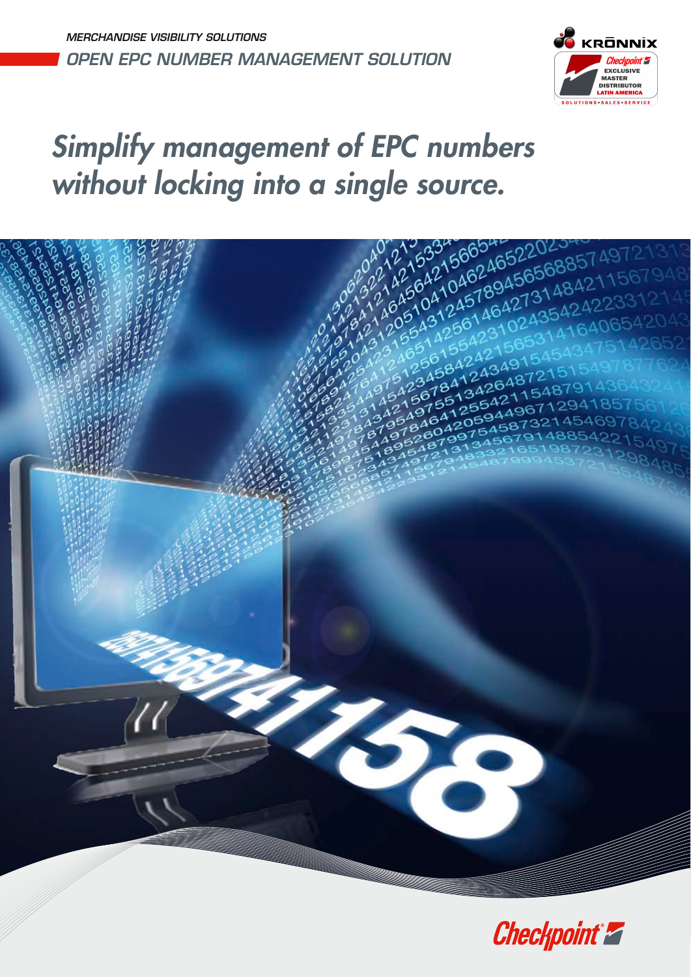MERCHANDISE VISIBILITY SOLUTIONS OPEN EPC NUMBER MANAGEMENT SOLUTION



# Simplify management of EPC numbers



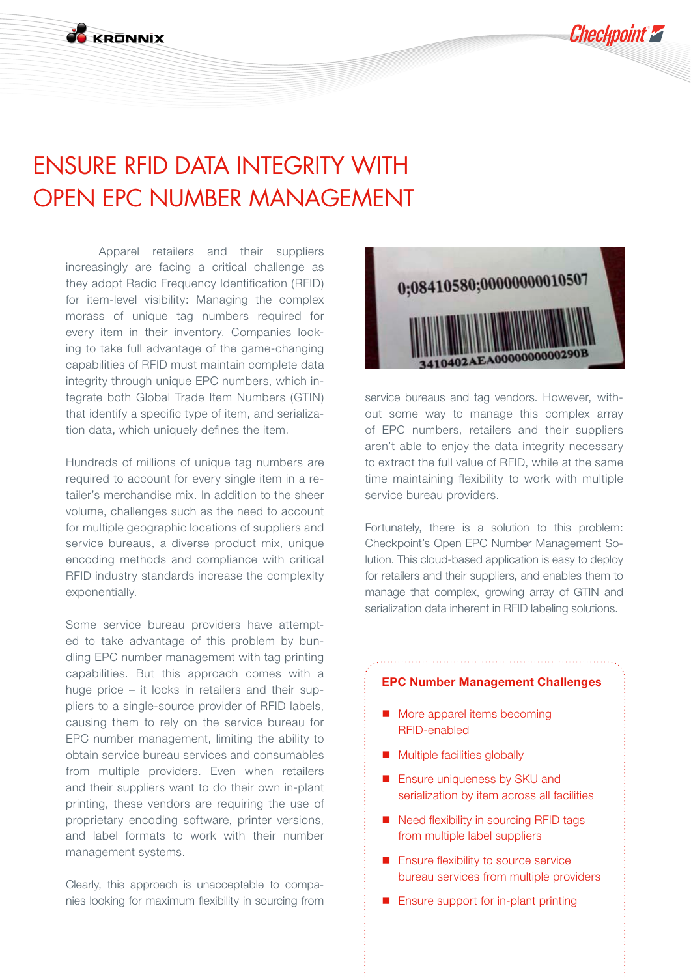ENSURE RFID DATA INTEGRITY WITH OPEN EPC NUMBER MANAGEMENT

**CO KOONNIY** 

Apparel retailers and their suppliers increasingly are facing a critical challenge as they adopt Radio Frequency Identification (RFID) for item-level visibility: Managing the complex morass of unique tag numbers required for every item in their inventory. Companies looking to take full advantage of the game-changing capabilities of RFID must maintain complete data integrity through unique EPC numbers, which integrate both Global Trade Item Numbers (GTIN) that identify a specific type of item, and serialization data, which uniquely defines the item.

Hundreds of millions of unique tag numbers are required to account for every single item in a retailer's merchandise mix. In addition to the sheer volume, challenges such as the need to account for multiple geographic locations of suppliers and service bureaus, a diverse product mix, unique encoding methods and compliance with critical RFID industry standards increase the complexity exponentially.

Some service bureau providers have attempted to take advantage of this problem by bundling EPC number management with tag printing capabilities. But this approach comes with a huge price – it locks in retailers and their suppliers to a single-source provider of RFID labels, causing them to rely on the service bureau for EPC number management, limiting the ability to obtain service bureau services and consumables from multiple providers. Even when retailers and their suppliers want to do their own in-plant printing, these vendors are requiring the use of proprietary encoding software, printer versions, and label formats to work with their number management systems.

Clearly, this approach is unacceptable to companies looking for maximum flexibility in sourcing from



**Checkpoint 2** 

service bureaus and tag vendors. However, without some way to manage this complex array of EPC numbers, retailers and their suppliers aren't able to enjoy the data integrity necessary to extract the full value of RFID, while at the same time maintaining flexibility to work with multiple service bureau providers.

Fortunately, there is a solution to this problem: Checkpoint's Open EPC Number Management Solution. This cloud-based application is easy to deploy for retailers and their suppliers, and enables them to manage that complex, growing array of GTIN and serialization data inherent in RFID labeling solutions.

#### **EPC Number Management Challenges**

- More apparel items becoming RFID-enabled
- **Multiple facilities globally**
- **Ensure uniqueness by SKU and** serialization by item across all facilities
- Need flexibility in sourcing RFID tags from multiple label suppliers
- **Ensure flexibility to source service** bureau services from multiple providers
- **Ensure support for in-plant printing**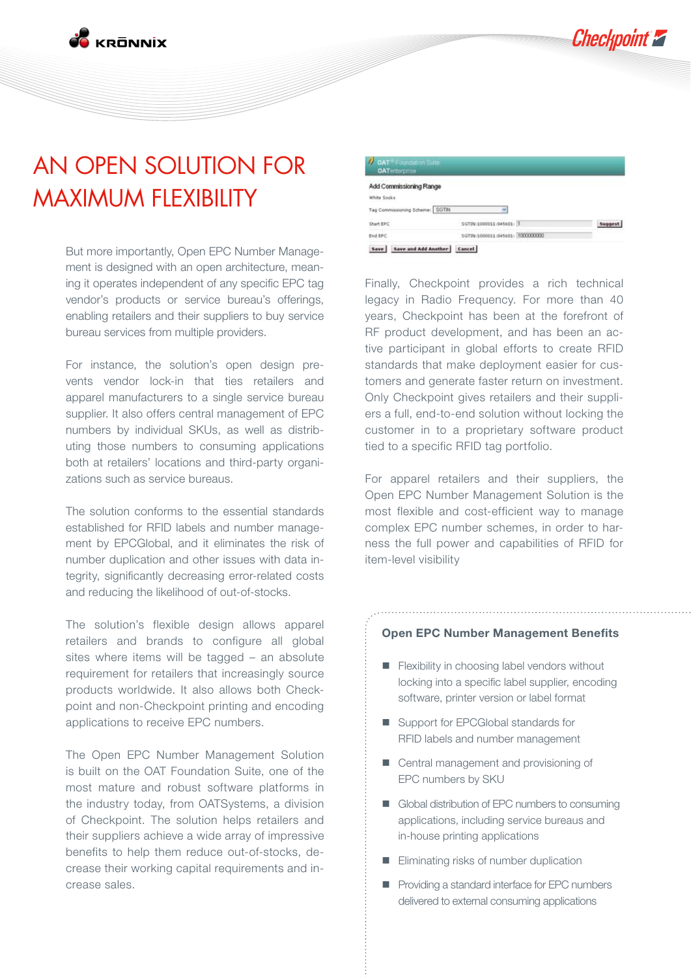**Checkpoint 2** 

**E**<br>Expositiv

## AN OPEN SOLUTION FOR MAXIMUM FLEXIBILITY

But more importantly, Open EPC Number Management is designed with an open architecture, meaning it operates independent of any specific EPC tag vendor's products or service bureau's offerings, enabling retailers and their suppliers to buy service bureau services from multiple providers.

For instance, the solution's open design prevents vendor lock-in that ties retailers and apparel manufacturers to a single service bureau supplier. It also offers central management of EPC numbers by individual SKUs, as well as distributing those numbers to consuming applications both at retailers' locations and third-party organizations such as service bureaus.

The solution conforms to the essential standards established for RFID labels and number management by EPCGlobal, and it eliminates the risk of number duplication and other issues with data integrity, significantly decreasing error-related costs and reducing the likelihood of out-of-stocks.

The solution's flexible design allows apparel retailers and brands to configure all global sites where items will be tagged – an absolute requirement for retailers that increasingly source products worldwide. It also allows both Checkpoint and non-Checkpoint printing and encoding applications to receive EPC numbers.

The Open EPC Number Management Solution is built on the OAT Foundation Suite, one of the most mature and robust software platforms in the industry today, from OATSystems, a division of Checkpoint. The solution helps retailers and their suppliers achieve a wide array of impressive benefits to help them reduce out-of-stocks, decrease their working capital requirements and increase sales.



Finally, Checkpoint provides a rich technical legacy in Radio Frequency. For more than 40 years, Checkpoint has been at the forefront of RF product development, and has been an active participant in global efforts to create RFID standards that make deployment easier for customers and generate faster return on investment. Only Checkpoint gives retailers and their suppliers a full, end-to-end solution without locking the customer in to a proprietary software product tied to a specific RFID tag portfolio.

For apparel retailers and their suppliers, the Open EPC Number Management Solution is the most flexible and cost-efficient way to manage complex EPC number schemes, in order to harness the full power and capabilities of RFID for item-level visibility

#### **Open EPC Number Management Benefits**

- **Flexibility in choosing label vendors without** locking into a specific label supplier, encoding software, printer version or label format
- Support for EPCGlobal standards for RFID labels and number management
- **E** Central management and provisioning of EPC numbers by SKU
- Global distribution of EPC numbers to consuming applications, including service bureaus and in-house printing applications
- **Eliminating risks of number duplication**
- **Providing a standard interface for EPC numbers** delivered to external consuming applications